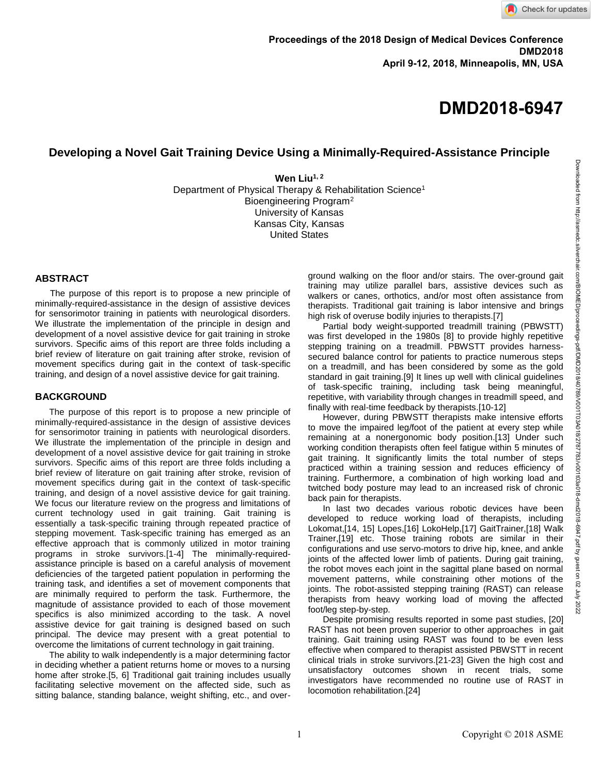# **Developing a Novel Gait Training Device Using a Minimally-Required-Assistance Principle**

**Wen Liu1, <sup>2</sup>**

Department of Physical Therapy & Rehabilitation Science<sup>1</sup> Bioengineering Program<sup>2</sup> University of Kansas Kansas City, Kansas United States

### **ABSTRACT**

 The purpose of this report is to propose a new principle of minimally-required-assistance in the design of assistive devices for sensorimotor training in patients with neurological disorders. We illustrate the implementation of the principle in design and development of a novel assistive device for gait training in stroke survivors. Specific aims of this report are three folds including a brief review of literature on gait training after stroke, revision of movement specifics during gait in the context of task-specific training, and design of a novel assistive device for gait training.

# **BACKGROUND**

The purpose of this report is to propose a new principle of minimally-required-assistance in the design of assistive devices for sensorimotor training in patients with neurological disorders. We illustrate the implementation of the principle in design and development of a novel assistive device for gait training in stroke survivors. Specific aims of this report are three folds including a brief review of literature on gait training after stroke, revision of movement specifics during gait in the context of task-specific training, and design of a novel assistive device for gait training. We focus our literature review on the progress and limitations of current technology used in gait training. Gait training is essentially a task-specific training through repeated practice of stepping movement. Task-specific training has emerged as an effective approach that is commonly utilized in motor training programs in stroke survivors.[1-4] The minimally-requiredassistance principle is based on a careful analysis of movement deficiencies of the targeted patient population in performing the training task, and identifies a set of movement components that are minimally required to perform the task. Furthermore, the magnitude of assistance provided to each of those movement specifics is also minimized according to the task. A novel assistive device for gait training is designed based on such principal. The device may present with a great potential to overcome the limitations of current technology in gait training.

The ability to walk independently is a major determining factor in deciding whether a patient returns home or moves to a nursing home after stroke.[5, 6] Traditional gait training includes usually facilitating selective movement on the affected side, such as sitting balance, standing balance, weight shifting, etc., and overground walking on the floor and/or stairs. The over-ground gait training may utilize parallel bars, assistive devices such as walkers or canes, orthotics, and/or most often assistance from therapists. Traditional gait training is labor intensive and brings high risk of overuse bodily injuries to therapists.[7]

 Partial body weight-supported treadmill training (PBWSTT) was first developed in the 1980s [8] to provide highly repetitive stepping training on a treadmill. PBWSTT provides harnesssecured balance control for patients to practice numerous steps on a treadmill, and has been considered by some as the gold standard in gait training.[9] It lines up well with clinical guidelines of task-specific training, including task being meaningful, repetitive, with variability through changes in treadmill speed, and finally with real-time feedback by therapists.[10-12]

 However, during PBWSTT therapists make intensive efforts to move the impaired leg/foot of the patient at every step while remaining at a nonergonomic body position.[13] Under such working condition therapists often feel fatigue within 5 minutes of gait training. It significantly limits the total number of steps practiced within a training session and reduces efficiency of training. Furthermore, a combination of high working load and twitched body posture may lead to an increased risk of chronic back pain for therapists.

 In last two decades various robotic devices have been developed to reduce working load of therapists, including Lokomat,[14, 15] Lopes,[16] LokoHelp,[17] GaitTrainer,[18] Walk Trainer,[19] etc. Those training robots are similar in their configurations and use servo-motors to drive hip, knee, and ankle joints of the affected lower limb of patients. During gait training, the robot moves each joint in the sagittal plane based on normal movement patterns, while constraining other motions of the joints. The robot-assisted stepping training (RAST) can release therapists from heavy working load of moving the affected foot/leg step-by-step.

 Despite promising results reported in some past studies, [20] RAST has not been proven superior to other approaches in gait training. Gait training using RAST was found to be even less effective when compared to therapist assisted PBWSTT in recent clinical trials in stroke survivors.[21-23] Given the high cost and unsatisfactory outcomes shown in recent trials, some investigators have recommended no routine use of RAST in locomotion rehabilitation.[24]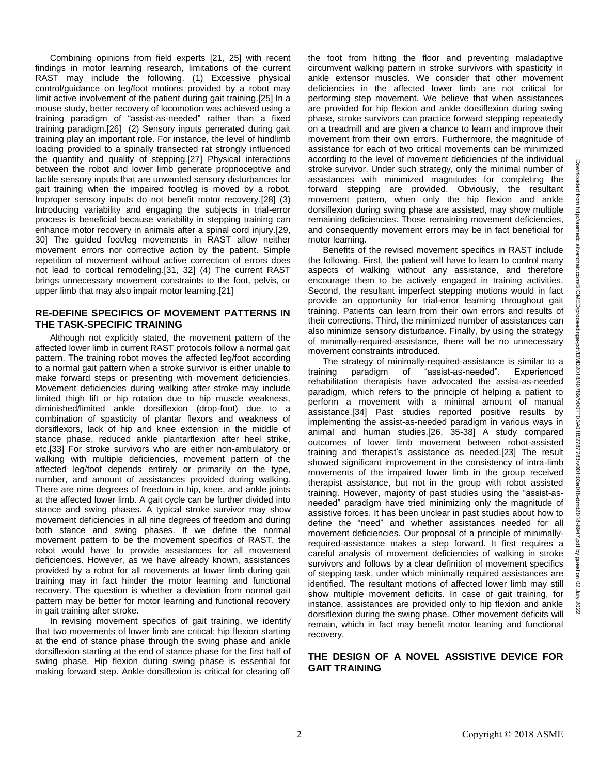Combining opinions from field experts [21, 25] with recent findings in motor learning research, limitations of the current RAST may include the following. (1) Excessive physical control/guidance on leg/foot motions provided by a robot may limit active involvement of the patient during gait training.[25] In a mouse study, better recovery of locomotion was achieved using a training paradigm of "assist-as-needed" rather than a fixed training paradigm.[26] (2) Sensory inputs generated during gait training play an important role. For instance, the level of hindlimb loading provided to a spinally transected rat strongly influenced the quantity and quality of stepping.[27] Physical interactions between the robot and lower limb generate proprioceptive and tactile sensory inputs that are unwanted sensory disturbances for gait training when the impaired foot/leg is moved by a robot. Improper sensory inputs do not benefit motor recovery.[28] (3) Introducing variability and engaging the subjects in trial-error process is beneficial because variability in stepping training can enhance motor recovery in animals after a spinal cord injury.[29, 30] The guided foot/leg movements in RAST allow neither movement errors nor corrective action by the patient. Simple repetition of movement without active correction of errors does not lead to cortical remodeling.[31, 32] (4) The current RAST brings unnecessary movement constraints to the foot, pelvis, or upper limb that may also impair motor learning.[21]

## **RE-DEFINE SPECIFICS OF MOVEMENT PATTERNS IN THE TASK-SPECIFIC TRAINING**

 Although not explicitly stated, the movement pattern of the affected lower limb in current RAST protocols follow a normal gait pattern. The training robot moves the affected leg/foot according to a normal gait pattern when a stroke survivor is either unable to make forward steps or presenting with movement deficiencies. Movement deficiencies during walking after stroke may include limited thigh lift or hip rotation due to hip muscle weakness, diminished/limited ankle dorsiflexion (drop-foot) due to a combination of spasticity of plantar flexors and weakness of dorsiflexors, lack of hip and knee extension in the middle of stance phase, reduced ankle plantarflexion after heel strike, etc.[33] For stroke survivors who are either non-ambulatory or walking with multiple deficiencies, movement pattern of the affected leg/foot depends entirely or primarily on the type, number, and amount of assistances provided during walking. There are nine degrees of freedom in hip, knee, and ankle joints at the affected lower limb. A gait cycle can be further divided into stance and swing phases. A typical stroke survivor may show movement deficiencies in all nine degrees of freedom and during both stance and swing phases. If we define the normal movement pattern to be the movement specifics of RAST, the robot would have to provide assistances for all movement deficiencies. However, as we have already known, assistances provided by a robot for all movements at lower limb during gait training may in fact hinder the motor learning and functional recovery. The question is whether a deviation from normal gait pattern may be better for motor learning and functional recovery in gait training after stroke.

 In revising movement specifics of gait training, we identify that two movements of lower limb are critical: hip flexion starting at the end of stance phase through the swing phase and ankle dorsiflexion starting at the end of stance phase for the first half of swing phase. Hip flexion during swing phase is essential for making forward step. Ankle dorsiflexion is critical for clearing off

the foot from hitting the floor and preventing maladaptive circumvent walking pattern in stroke survivors with spasticity in ankle extensor muscles. We consider that other movement deficiencies in the affected lower limb are not critical for performing step movement. We believe that when assistances are provided for hip flexion and ankle dorsiflexion during swing phase, stroke survivors can practice forward stepping repeatedly on a treadmill and are given a chance to learn and improve their movement from their own errors. Furthermore, the magnitude of assistance for each of two critical movements can be minimized according to the level of movement deficiencies of the individual stroke survivor. Under such strategy, only the minimal number of assistances with minimized magnitudes for completing the forward stepping are provided. Obviously, the resultant movement pattern, when only the hip flexion and ankle dorsiflexion during swing phase are assisted, may show multiple remaining deficiencies. Those remaining movement deficiencies, and consequently movement errors may be in fact beneficial for motor learning.

 Benefits of the revised movement specifics in RAST include the following. First, the patient will have to learn to control many aspects of walking without any assistance, and therefore encourage them to be actively engaged in training activities. Second, the resultant imperfect stepping motions would in fact provide an opportunity for trial-error learning throughout gait training. Patients can learn from their own errors and results of their corrections. Third, the minimized number of assistances can also minimize sensory disturbance. Finally, by using the strategy of minimally-required-assistance, there will be no unnecessary movement constraints introduced.

The strategy of minimally-required-assistance is similar to a<br>ning paradigm of "assist-as-needed". Experienced training paradigm of "assist-as-needed". rehabilitation therapists have advocated the assist-as-needed paradigm, which refers to the principle of helping a patient to perform a movement with a minimal amount of manual assistance.[34] Past studies reported positive results by implementing the assist-as-needed paradigm in various ways in animal and human studies.[26, 35-38] A study compared outcomes of lower limb movement between robot-assisted training and therapist's assistance as needed.[23] The result showed significant improvement in the consistency of intra-limb movements of the impaired lower limb in the group received therapist assistance, but not in the group with robot assisted training. However, majority of past studies using the "assist-asneeded" paradigm have tried minimizing only the magnitude of assistive forces. It has been unclear in past studies about how to define the "need" and whether assistances needed for all movement deficiencies. Our proposal of a principle of minimallyrequired-assistance makes a step forward. It first requires a careful analysis of movement deficiencies of walking in stroke survivors and follows by a clear definition of movement specifics of stepping task, under which minimally required assistances are identified. The resultant motions of affected lower limb may still show multiple movement deficits. In case of gait training, for instance, assistances are provided only to hip flexion and ankle dorsiflexion during the swing phase. Other movement deficits will remain, which in fact may benefit motor leaning and functional recovery.

# **THE DESIGN OF A NOVEL ASSISTIVE DEVICE FOR GAIT TRAINING**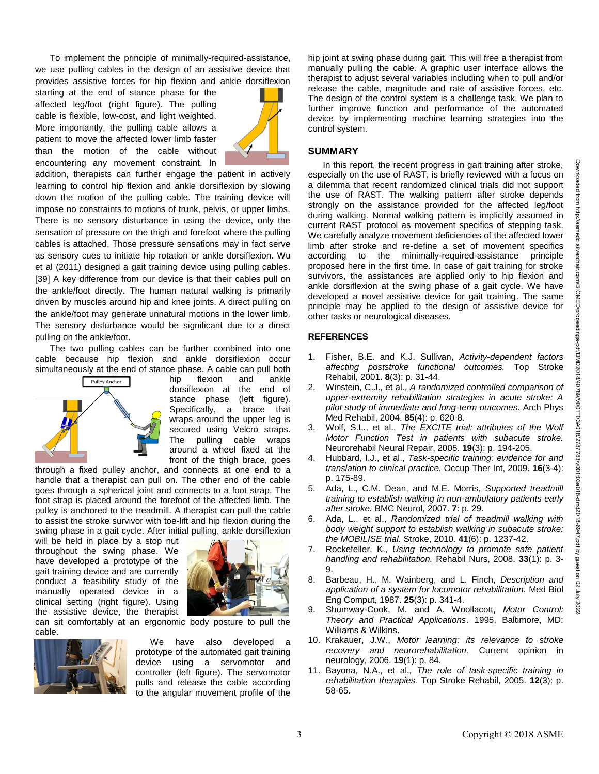To implement the principle of minimally-required-assistance, we use pulling cables in the design of an assistive device that provides assistive forces for hip flexion and ankle dorsiflexion

starting at the end of stance phase for the affected leg/foot (right figure). The pulling cable is flexible, low-cost, and light weighted. More importantly, the pulling cable allows a patient to move the affected lower limb faster than the motion of the cable without encountering any movement constraint. In



addition, therapists can further engage the patient in actively learning to control hip flexion and ankle dorsiflexion by slowing down the motion of the pulling cable. The training device will impose no constraints to motions of trunk, pelvis, or upper limbs. There is no sensory disturbance in using the device, only the sensation of pressure on the thigh and forefoot where the pulling cables is attached. Those pressure sensations may in fact serve as sensory cues to initiate hip rotation or ankle dorsiflexion. Wu et al (2011) designed a gait training device using pulling cables. [39] A key difference from our device is that their cables pull on the ankle/foot directly. The human natural walking is primarily driven by muscles around hip and knee joints. A direct pulling on the ankle/foot may generate unnatural motions in the lower limb. The sensory disturbance would be significant due to a direct pulling on the ankle/foot.

 The two pulling cables can be further combined into one cable because hip flexion and ankle dorsiflexion occur simultaneously at the end of stance phase. A cable can pull both



hip flexion and ankle dorsiflexion at the end of stance phase (left figure). Specifically, a brace that wraps around the upper leg is secured using Velcro straps. The pulling cable wraps around a wheel fixed at the front of the thigh brace, goes

through a fixed pulley anchor, and connects at one end to a handle that a therapist can pull on. The other end of the cable goes through a spherical joint and connects to a foot strap. The foot strap is placed around the forefoot of the affected limb. The pulley is anchored to the treadmill. A therapist can pull the cable to assist the stroke survivor with toe-lift and hip flexion during the swing phase in a gait cycle. After initial pulling, ankle dorsiflexion

will be held in place by a stop nut throughout the swing phase. We have developed a prototype of the gait training device and are currently conduct a feasibility study of the manually operated device in a clinical setting (right figure). Using the assistive device, the therapist



can sit comfortably at an ergonomic body posture to pull the cable.



 We have also developed a prototype of the automated gait training device using a servomotor and controller (left figure). The servomotor pulls and release the cable according to the angular movement profile of the

hip joint at swing phase during gait. This will free a therapist from manually pulling the cable. A graphic user interface allows the therapist to adjust several variables including when to pull and/or release the cable, magnitude and rate of assistive forces, etc. The design of the control system is a challenge task. We plan to further improve function and performance of the automated device by implementing machine learning strategies into the control system.

#### **SUMMARY**

In this report, the recent progress in gait training after stroke, especially on the use of RAST, is briefly reviewed with a focus on a dilemma that recent randomized clinical trials did not support the use of RAST. The walking pattern after stroke depends strongly on the assistance provided for the affected leg/foot during walking. Normal walking pattern is implicitly assumed in current RAST protocol as movement specifics of stepping task. We carefully analyze movement deficiencies of the affected lower limb after stroke and re-define a set of movement specifics according to the minimally-required-assistance principle proposed here in the first time. In case of gait training for stroke survivors, the assistances are applied only to hip flexion and ankle dorsiflexion at the swing phase of a gait cycle. We have developed a novel assistive device for gait training. The same principle may be applied to the design of assistive device for other tasks or neurological diseases.

#### **REFERENCES**

- 1. Fisher, B.E. and K.J. Sullivan, *Activity-dependent factors affecting poststroke functional outcomes.* Top Stroke Rehabil, 2001. **8**(3): p. 31-44.
- 2. Winstein, C.J., et al., *A randomized controlled comparison of upper-extremity rehabilitation strategies in acute stroke: A pilot study of immediate and long-term outcomes.* Arch Phys Med Rehabil, 2004. **85**(4): p. 620-8.
- 3. Wolf, S.L., et al., *The EXCITE trial: attributes of the Wolf Motor Function Test in patients with subacute stroke.* Neurorehabil Neural Repair, 2005. **19**(3): p. 194-205.
- 4. Hubbard, I.J., et al., *Task-specific training: evidence for and translation to clinical practice.* Occup Ther Int, 2009. **16**(3-4): p. 175-89.
- 5. Ada, L., C.M. Dean, and M.E. Morris, *Supported treadmill training to establish walking in non-ambulatory patients early after stroke.* BMC Neurol, 2007. **7**: p. 29.
- 6. Ada, L., et al., *Randomized trial of treadmill walking with body weight support to establish walking in subacute stroke: the MOBILISE trial.* Stroke, 2010. **41**(6): p. 1237-42.
- 7. Rockefeller, K., *Using technology to promote safe patient handling and rehabilitation.* Rehabil Nurs, 2008. **33**(1): p. 3- 9.
- 8. Barbeau, H., M. Wainberg, and L. Finch, *Description and application of a system for locomotor rehabilitation.* Med Biol Eng Comput, 1987. **25**(3): p. 341-4.
- 9. Shumway-Cook, M. and A. Woollacott, *Motor Control: Theory and Practical Applications*. 1995, Baltimore, MD: Williams & Wilkins.
- 10. Krakauer, J.W., *Motor learning: its relevance to stroke recovery and neurorehabilitation.* Current opinion in neurology, 2006. **19**(1): p. 84.
- 11. Bayona, N.A., et al., *The role of task-specific training in rehabilitation therapies.* Top Stroke Rehabil, 2005. **12**(3): p. 58-65.